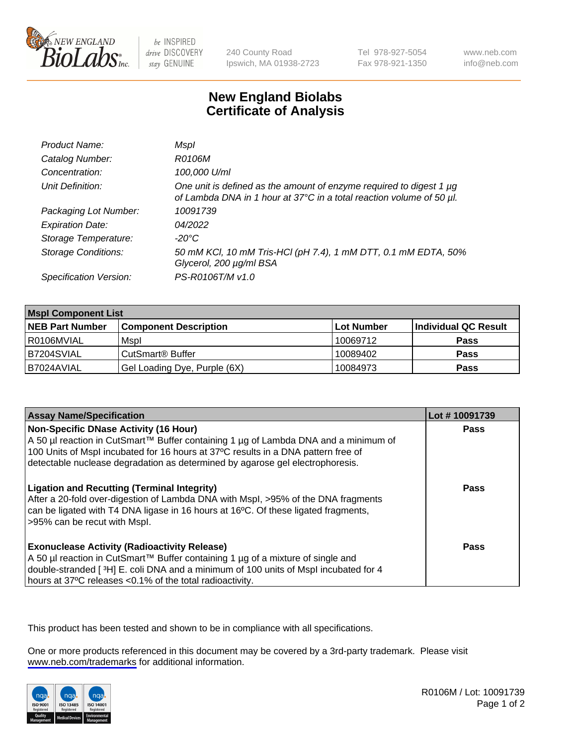

be INSPIRED drive DISCOVERY stay GENUINE

240 County Road Ipswich, MA 01938-2723 Tel 978-927-5054 Fax 978-921-1350

www.neb.com info@neb.com

## **New England Biolabs Certificate of Analysis**

| Product Name:              | Mspl                                                                                                                                             |
|----------------------------|--------------------------------------------------------------------------------------------------------------------------------------------------|
| Catalog Number:            | R0106M                                                                                                                                           |
| Concentration:             | 100,000 U/ml                                                                                                                                     |
| Unit Definition:           | One unit is defined as the amount of enzyme required to digest 1 $\mu$ g<br>of Lambda DNA in 1 hour at 37°C in a total reaction volume of 50 µl. |
| Packaging Lot Number:      | 10091739                                                                                                                                         |
| <b>Expiration Date:</b>    | 04/2022                                                                                                                                          |
| Storage Temperature:       | -20°C                                                                                                                                            |
| <b>Storage Conditions:</b> | 50 mM KCl, 10 mM Tris-HCl (pH 7.4), 1 mM DTT, 0.1 mM EDTA, 50%<br>Glycerol, 200 µg/ml BSA                                                        |
| Specification Version:     | PS-R0106T/M v1.0                                                                                                                                 |

| <b>Mspl Component List</b> |                              |                   |                      |  |
|----------------------------|------------------------------|-------------------|----------------------|--|
| <b>NEB Part Number</b>     | <b>Component Description</b> | <b>Lot Number</b> | Individual QC Result |  |
| l R0106MVIAL               | Mspl                         | 10069712          | <b>Pass</b>          |  |
| B7204SVIAL                 | CutSmart <sup>®</sup> Buffer | 10089402          | <b>Pass</b>          |  |
| IB7024AVIAL                | Gel Loading Dye, Purple (6X) | 10084973          | <b>Pass</b>          |  |

| <b>Assay Name/Specification</b>                                                                                                                                                                                                                                                                           | Lot #10091739 |
|-----------------------------------------------------------------------------------------------------------------------------------------------------------------------------------------------------------------------------------------------------------------------------------------------------------|---------------|
| <b>Non-Specific DNase Activity (16 Hour)</b><br>A 50 µl reaction in CutSmart™ Buffer containing 1 µg of Lambda DNA and a minimum of<br>100 Units of Mspl incubated for 16 hours at 37°C results in a DNA pattern free of<br>detectable nuclease degradation as determined by agarose gel electrophoresis. | <b>Pass</b>   |
| <b>Ligation and Recutting (Terminal Integrity)</b><br>After a 20-fold over-digestion of Lambda DNA with Mspl, >95% of the DNA fragments<br>can be ligated with T4 DNA ligase in 16 hours at 16°C. Of these ligated fragments,<br>>95% can be recut with Mspl.                                             | Pass          |
| <b>Exonuclease Activity (Radioactivity Release)</b><br>A 50 µl reaction in CutSmart™ Buffer containing 1 µg of a mixture of single and<br>double-stranded [3H] E. coli DNA and a minimum of 100 units of Mspl incubated for 4<br>hours at 37°C releases <0.1% of the total radioactivity.                 | Pass          |

This product has been tested and shown to be in compliance with all specifications.

One or more products referenced in this document may be covered by a 3rd-party trademark. Please visit <www.neb.com/trademarks>for additional information.